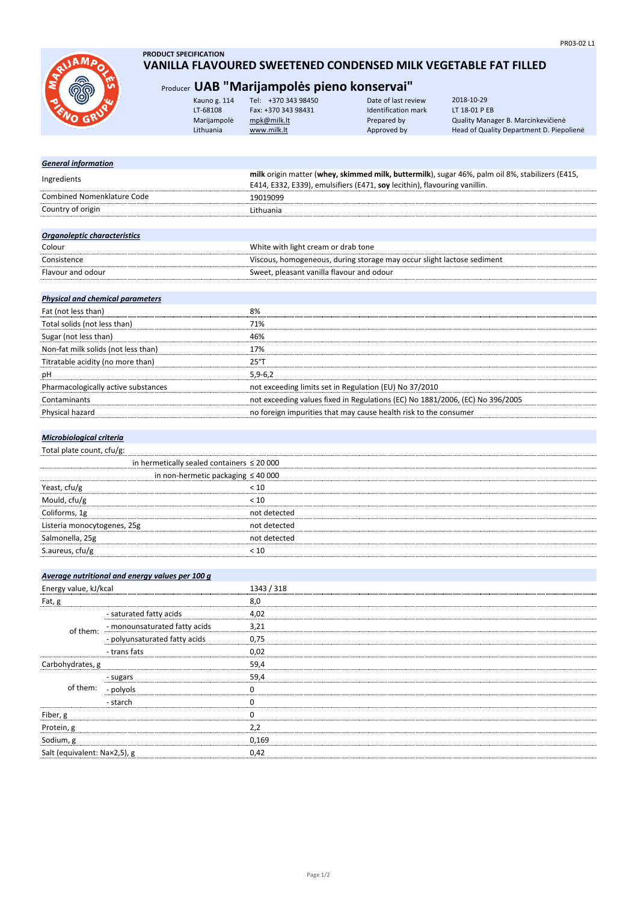

#### **PRODUCT SPECIFICATION VANILLA FLAVOURED SWEETENED CONDENSED MILK VEGETABLE FAT FILLED**

# Producer **UAB "Marijampolės pieno konservai"**

| Kauno g. 114 | Tel: +370 343 98450 | Date of last review | 2018-10-29                               |
|--------------|---------------------|---------------------|------------------------------------------|
| LT-68108     | Fax: +370 343 98431 | Identification mark | LT 18-01 P EB                            |
| Marijampolė  | mpk@milk.lt         | Prepared by         | Quality Manager B. Marcinkevičienė       |
| Lithuania    | www.milk.lt         | Approved by         | Head of Quality Department D. Piepoliene |
|              |                     |                     |                                          |

# *General information*

| Ingredients                | milk origin matter (whey, skimmed milk, buttermilk), sugar 46%, palm oil 8%, stabilizers (E415,<br>E414, E332, E339), emulsifiers (E471, soy lecithin), flavouring vanillin. |
|----------------------------|------------------------------------------------------------------------------------------------------------------------------------------------------------------------------|
| Combined Nomenklature Code | 19019099                                                                                                                                                                     |
| Country of origin          | Lithuania                                                                                                                                                                    |
|                            |                                                                                                                                                                              |

| Organoleptic characteristics |                                                                        |
|------------------------------|------------------------------------------------------------------------|
| Colour                       | White with light cream or drab tone                                    |
| Consistence                  | Viscous, homogeneous, during storage may occur slight lactose sediment |
| Flavour and odour            | Sweet, pleasant vanilla flavour and odour                              |

# *Physical and chemical parameters*

| 8%                                                                            |
|-------------------------------------------------------------------------------|
| 71%                                                                           |
| 46%                                                                           |
|                                                                               |
| 17%                                                                           |
| $25°$ T                                                                       |
| $5.9 - 6.2$                                                                   |
| not exceeding limits set in Regulation (EU) No 37/2010                        |
| not exceeding values fixed in Regulations (EC) No 1881/2006, (EC) No 396/2005 |
| no foreign impurities that may cause health risk to the consumer              |
|                                                                               |

# *Microbiological criteria*

|  | Total plate count, cfu/g: |  |
|--|---------------------------|--|
|  |                           |  |

| in hermetically sealed containers $\leq 20000$ |                                        |  |
|------------------------------------------------|----------------------------------------|--|
|                                                | in non-hermetic packaging $\leq 40000$ |  |
| Yeast, cfu/g                                   | $\epsilon$ 10                          |  |
| Mould, cfu/g                                   | < 10                                   |  |
| Coliforms, 1g                                  | not detected                           |  |
| Listeria monocytogenes, 25g                    | not detected                           |  |
| Salmonella, 25g                                | not detected                           |  |
| S.aureus, cfu/g                                | < 10                                   |  |

|                              | Average nutritional and energy values per 100 g |            |
|------------------------------|-------------------------------------------------|------------|
| Energy value, kJ/kcal        |                                                 | 1343 / 318 |
| Fat, g                       |                                                 | 8,0        |
| of them:                     | - saturated fatty acids                         | 4,02       |
|                              | - monounsaturated fatty acids                   | 3,21       |
|                              | - polyunsaturated fatty acids                   | 0.75       |
|                              | - trans fats                                    | 0,02       |
| Carbohydrates, g             |                                                 | 59,4       |
| of them:                     | - sugars                                        | 59,4       |
|                              | - polyols                                       |            |
|                              | - starch                                        |            |
| Fiber, g                     |                                                 |            |
| Protein, g                   |                                                 | 2,2        |
| Sodium, g                    |                                                 | 0,169      |
| Salt (equivalent: Na×2,5), g |                                                 | 0,42       |